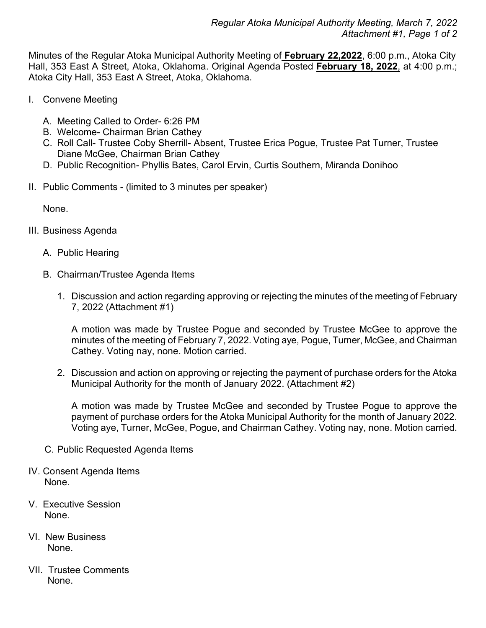Minutes of the Regular Atoka Municipal Authority Meeting of **February 22,2022**, 6:00 p.m., Atoka City Hall, 353 East A Street, Atoka, Oklahoma. Original Agenda Posted **February 18, 2022**, at 4:00 p.m.; Atoka City Hall, 353 East A Street, Atoka, Oklahoma.

- I. Convene Meeting
	- A. Meeting Called to Order- 6:26 PM
	- B. Welcome- Chairman Brian Cathey
	- C. Roll Call- Trustee Coby Sherrill- Absent, Trustee Erica Pogue, Trustee Pat Turner, Trustee Diane McGee, Chairman Brian Cathey
	- D. Public Recognition- Phyllis Bates, Carol Ervin, Curtis Southern, Miranda Donihoo
- II. Public Comments (limited to 3 minutes per speaker)

None.

- III. Business Agenda
	- A. Public Hearing
	- B. Chairman/Trustee Agenda Items
		- 1. Discussion and action regarding approving or rejecting the minutes of the meeting of February 7, 2022 (Attachment #1)

A motion was made by Trustee Pogue and seconded by Trustee McGee to approve the minutes of the meeting of February 7, 2022. Voting aye, Pogue, Turner, McGee, and Chairman Cathey. Voting nay, none. Motion carried.

2. Discussion and action on approving or rejecting the payment of purchase orders for the Atoka Municipal Authority for the month of January 2022. (Attachment #2)

A motion was made by Trustee McGee and seconded by Trustee Pogue to approve the payment of purchase orders for the Atoka Municipal Authority for the month of January 2022. Voting aye, Turner, McGee, Pogue, and Chairman Cathey. Voting nay, none. Motion carried.

- C. Public Requested Agenda Items
- IV. Consent Agenda Items None.
- V. Executive Session None.
- VI. New Business None.
- VII. Trustee Comments None.